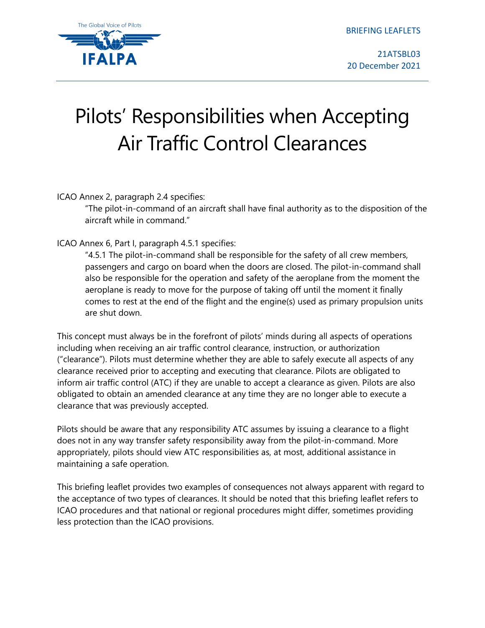BRIEFING LEAFLETS



21ATSBL03 20 December 2021

## Pilots' Responsibilities when Accepting Air Traffic Control Clearances

ICAO Annex 2, paragraph 2.4 specifies:

"The pilot-in-command of an aircraft shall have final authority as to the disposition of the aircraft while in command."

ICAO Annex 6, Part I, paragraph 4.5.1 specifies:

"4.5.1 The pilot-in-command shall be responsible for the safety of all crew members, passengers and cargo on board when the doors are closed. The pilot-in-command shall also be responsible for the operation and safety of the aeroplane from the moment the aeroplane is ready to move for the purpose of taking off until the moment it finally comes to rest at the end of the flight and the engine(s) used as primary propulsion units are shut down.

This concept must always be in the forefront of pilots' minds during all aspects of operations including when receiving an air traffic control clearance, instruction, or authorization ("clearance"). Pilots must determine whether they are able to safely execute all aspects of any clearance received prior to accepting and executing that clearance. Pilots are obligated to inform air traffic control (ATC) if they are unable to accept a clearance as given. Pilots are also obligated to obtain an amended clearance at any time they are no longer able to execute a clearance that was previously accepted.

Pilots should be aware that any responsibility ATC assumes by issuing a clearance to a flight does not in any way transfer safety responsibility away from the pilot-in-command. More appropriately, pilots should view ATC responsibilities as, at most, additional assistance in maintaining a safe operation.

This briefing leaflet provides two examples of consequences not always apparent with regard to the acceptance of two types of clearances. It should be noted that this briefing leaflet refers to ICAO procedures and that national or regional procedures might differ, sometimes providing less protection than the ICAO provisions.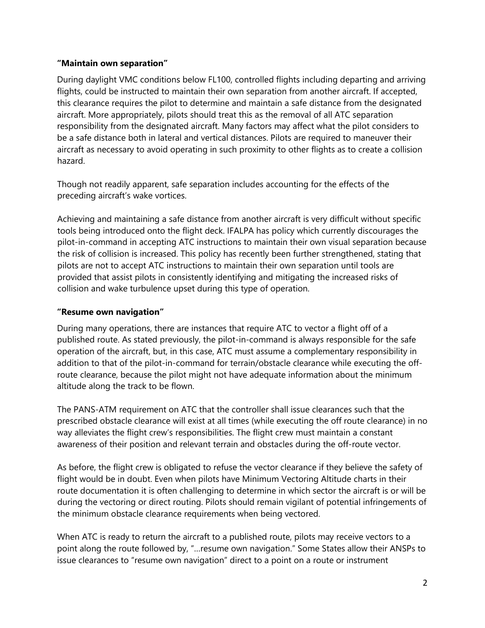## **"Maintain own separation"**

During daylight VMC conditions below FL100, controlled flights including departing and arriving flights, could be instructed to maintain their own separation from another aircraft. If accepted, this clearance requires the pilot to determine and maintain a safe distance from the designated aircraft. More appropriately, pilots should treat this as the removal of all ATC separation responsibility from the designated aircraft. Many factors may affect what the pilot considers to be a safe distance both in lateral and vertical distances. Pilots are required to maneuver their aircraft as necessary to avoid operating in such proximity to other flights as to create a collision hazard.

Though not readily apparent, safe separation includes accounting for the effects of the preceding aircraft's wake vortices.

Achieving and maintaining a safe distance from another aircraft is very difficult without specific tools being introduced onto the flight deck. IFALPA has policy which currently discourages the pilot-in-command in accepting ATC instructions to maintain their own visual separation because the risk of collision is increased. This policy has recently been further strengthened, stating that pilots are not to accept ATC instructions to maintain their own separation until tools are provided that assist pilots in consistently identifying and mitigating the increased risks of collision and wake turbulence upset during this type of operation.

## **"Resume own navigation"**

During many operations, there are instances that require ATC to vector a flight off of a published route. As stated previously, the pilot-in-command is always responsible for the safe operation of the aircraft, but, in this case, ATC must assume a complementary responsibility in addition to that of the pilot-in-command for terrain/obstacle clearance while executing the offroute clearance, because the pilot might not have adequate information about the minimum altitude along the track to be flown.

The PANS-ATM requirement on ATC that the controller shall issue clearances such that the prescribed obstacle clearance will exist at all times (while executing the off route clearance) in no way alleviates the flight crew's responsibilities. The flight crew must maintain a constant awareness of their position and relevant terrain and obstacles during the off-route vector.

As before, the flight crew is obligated to refuse the vector clearance if they believe the safety of flight would be in doubt. Even when pilots have Minimum Vectoring Altitude charts in their route documentation it is often challenging to determine in which sector the aircraft is or will be during the vectoring or direct routing. Pilots should remain vigilant of potential infringements of the minimum obstacle clearance requirements when being vectored.

When ATC is ready to return the aircraft to a published route, pilots may receive vectors to a point along the route followed by, "…resume own navigation." Some States allow their ANSPs to issue clearances to "resume own navigation" direct to a point on a route or instrument